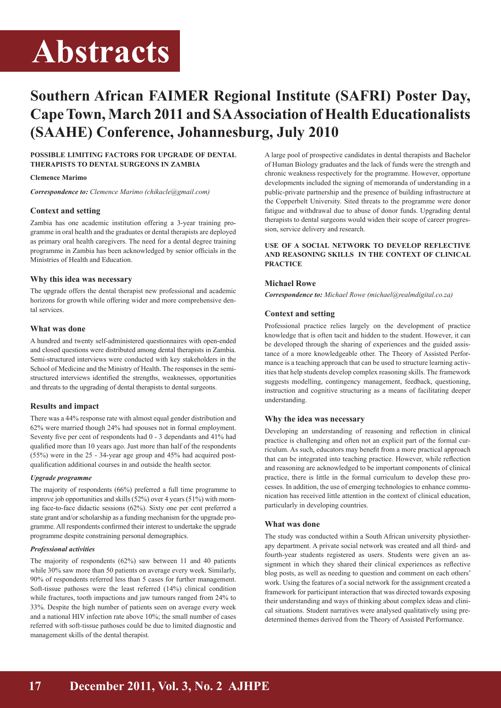# **Abstracts**

# **Southern African FAIMER Regional Institute (SAFRI) Poster Day, Cape Town, March 2011 and SA Association of Health Educationalists (SAAHE) Conference, Johannesburg, July 2010**

# **POSSIBLE LIMITING FACTORS FOR UPGRADE OF DENTAL THERAPISTS TO DENTAL SURGEONS IN ZAMBIA**

#### **Clemence Marimo**

*Correspondence to: Clemence Marimo (chikacle@gmail.com)*

#### **Context and setting**

Zambia has one academic institution offering a 3-year training programme in oral health and the graduates or dental therapists are deployed as primary oral health caregivers. The need for a dental degree training programme in Zambia has been acknowledged by senior officials in the Ministries of Health and Education.

# **Why this idea was necessary**

The upgrade offers the dental therapist new professional and academic horizons for growth while offering wider and more comprehensive dental services.

# **What was done**

A hundred and twenty self-administered questionnaires with open-ended and closed questions were distributed among dental therapists in Zambia. Semi-structured interviews were conducted with key stakeholders in the School of Medicine and the Ministry of Health. The responses in the semistructured interviews identified the strengths, weaknesses, opportunities and threats to the upgrading of dental therapists to dental surgeons.

# **Results and impact**

There was a 44% response rate with almost equal gender distribution and 62% were married though 24% had spouses not in formal employment. Seventy five per cent of respondents had 0 - 3 dependants and 41% had qualified more than 10 years ago. Just more than half of the respondents (55%) were in the 25 - 34-year age group and 45% had acquired postqualification additional courses in and outside the health sector.

#### *Upgrade programme*

The majority of respondents (66%) preferred a full time programme to improve job opportunities and skills (52%) over 4 years (51%) with morning face-to-face didactic sessions (62%). Sixty one per cent preferred a state grant and/or scholarship as a funding mechanism for the upgrade programme. All respondents confirmed their interest to undertake the upgrade programme despite constraining personal demographics.

#### *Professional activities*

The majority of respondents (62%) saw between 11 and 40 patients while 30% saw more than 50 patients on average every week. Similarly, 90% of respondents referred less than 5 cases for further management. Soft-tissue pathoses were the least referred (14%) clinical condition while fractures, tooth impactions and jaw tumours ranged from 24% to 33%. Despite the high number of patients seen on average every week and a national HIV infection rate above 10%; the small number of cases referred with soft-tissue pathoses could be due to limited diagnostic and management skills of the dental therapist.

A large pool of prospective candidates in dental therapists and Bachelor of Human Biology graduates and the lack of funds were the strength and chronic weakness respectively for the programme. However, opportune developments included the signing of memoranda of understanding in a public-private partnership and the presence of building infrastructure at the Copperbelt University. Sited threats to the programme were donor fatigue and withdrawal due to abuse of donor funds. Upgrading dental therapists to dental surgeons would widen their scope of career progression, service delivery and research.

# **USE OF A SOCIAL NETWORK TO DEVELOP REFLECTIVE AND REASONING SKILLS IN THE CONTEXT OF CLINICAL PRACTICE**

# **Michael Rowe**

*Correspondence to: Michael Rowe (michael@realmdigital.co.za)*

# **Context and setting**

Professional practice relies largely on the development of practice knowledge that is often tacit and hidden to the student. However, it can be developed through the sharing of experiences and the guided assistance of a more knowledgeable other. The Theory of Assisted Performance is a teaching approach that can be used to structure learning activities that help students develop complex reasoning skills. The framework suggests modelling, contingency management, feedback, questioning, instruction and cognitive structuring as a means of facilitating deeper understanding.

#### **Why the idea was necessary**

Developing an understanding of reasoning and reflection in clinical practice is challenging and often not an explicit part of the formal curriculum. As such, educators may benefit from a more practical approach that can be integrated into teaching practice. However, while reflection and reasoning are acknowledged to be important components of clinical practice, there is little in the formal curriculum to develop these processes. In addition, the use of emerging technologies to enhance communication has received little attention in the context of clinical education, particularly in developing countries.

#### **What was done**

The study was conducted within a South African university physiotherapy department. A private social network was created and all third- and fourth-year students registered as users. Students were given an assignment in which they shared their clinical experiences as reflective blog posts, as well as needing to question and comment on each others' work. Using the features of a social network for the assignment created a framework for participant interaction that was directed towards exposing their understanding and ways of thinking about complex ideas and clinical situations. Student narratives were analysed qualitatively using predetermined themes derived from the Theory of Assisted Performance.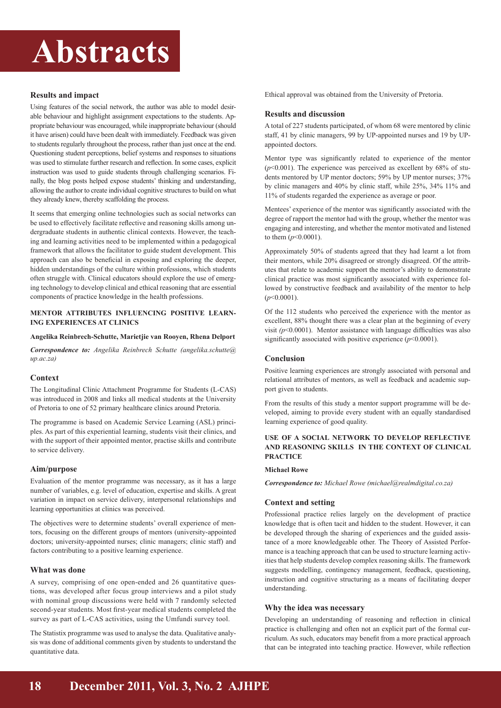# **Abstracts**

# **Results and impact**

Using features of the social network, the author was able to model desirable behaviour and highlight assignment expectations to the students. Appropriate behaviour was encouraged, while inappropriate behaviour (should it have arisen) could have been dealt with immediately. Feedback was given to students regularly throughout the process, rather than just once at the end. Questioning student perceptions, belief systems and responses to situations was used to stimulate further research and reflection. In some cases, explicit instruction was used to guide students through challenging scenarios. Finally, the blog posts helped expose students' thinking and understanding, allowing the author to create individual cognitive structures to build on what they already knew, thereby scaffolding the process.

It seems that emerging online technologies such as social networks can be used to effectively facilitate reflective and reasoning skills among undergraduate students in authentic clinical contexts. However, the teaching and learning activities need to be implemented within a pedagogical framework that allows the facilitator to guide student development. This approach can also be beneficial in exposing and exploring the deeper, hidden understandings of the culture within professions, which students often struggle with. Clinical educators should explore the use of emerging technology to develop clinical and ethical reasoning that are essential components of practice knowledge in the health professions.

#### **MENTOR ATTRIBUTES INFLUENCING POSITIVE LEARN-ING EXPERIENCES AT CLINICS**

#### **Angelika Reinbrech-Schutte, Marietjie van Rooyen, Rhena Delport**

*Correspondence to: Angelika Reinbrech Schutte (angelika.schutte@ up.ac.za)*

#### **Context**

The Longitudinal Clinic Attachment Programme for Students (L-CAS) was introduced in 2008 and links all medical students at the University of Pretoria to one of 52 primary healthcare clinics around Pretoria.

The programme is based on Academic Service Learning (ASL) principles. As part of this experiential learning, students visit their clinics, and with the support of their appointed mentor, practise skills and contribute to service delivery.

#### **Aim/purpose**

Evaluation of the mentor programme was necessary, as it has a large number of variables, e.g. level of education, expertise and skills. A great variation in impact on service delivery, interpersonal relationships and learning opportunities at clinics was perceived.

The objectives were to determine students' overall experience of mentors, focusing on the different groups of mentors (university-appointed doctors; university-appointed nurses; clinic managers; clinic staff) and factors contributing to a positive learning experience.

#### **What was done**

A survey, comprising of one open-ended and 26 quantitative questions, was developed after focus group interviews and a pilot study with nominal group discussions were held with 7 randomly selected second-year students. Most first-year medical students completed the survey as part of L-CAS activities, using the Umfundi survey tool.

The Statistix programme was used to analyse the data. Qualitative analysis was done of additional comments given by students to understand the quantitative data.

Ethical approval was obtained from the University of Pretoria.

#### **Results and discussion**

A total of 227 students participated, of whom 68 were mentored by clinic staff, 41 by clinic managers, 99 by UP-appointed nurses and 19 by UPappointed doctors.

Mentor type was significantly related to experience of the mentor  $(p<0.001)$ . The experience was perceived as excellent by  $68\%$  of students mentored by UP mentor doctors; 59% by UP mentor nurses; 37% by clinic managers and 40% by clinic staff, while 25%, 34% 11% and 11% of students regarded the experience as average or poor.

Mentees' experience of the mentor was significantly associated with the degree of rapport the mentor had with the group, whether the mentor was engaging and interesting, and whether the mentor motivated and listened to them (*p*<0.0001).

Approximately 50% of students agreed that they had learnt a lot from their mentors, while 20% disagreed or strongly disagreed. Of the attributes that relate to academic support the mentor's ability to demonstrate clinical practice was most significantly associated with experience followed by constructive feedback and availability of the mentor to help (*p*<0.0001).

Of the 112 students who perceived the experience with the mentor as excellent, 88% thought there was a clear plan at the beginning of every visit  $(p<0.0001)$ . Mentor assistance with language difficulties was also significantly associated with positive experience ( $p$ <0.0001).

#### **Conclusion**

Positive learning experiences are strongly associated with personal and relational attributes of mentors, as well as feedback and academic support given to students.

From the results of this study a mentor support programme will be developed, aiming to provide every student with an equally standardised learning experience of good quality.

#### **USE OF A SOCIAL NETWORK TO DEVELOP REFLECTIVE AND REASONING SKILLS IN THE CONTEXT OF CLINICAL PRACTICE**

#### **Michael Rowe**

*Correspondence to: Michael Rowe (michael@realmdigital.co.za)*

### **Context and setting**

Professional practice relies largely on the development of practice knowledge that is often tacit and hidden to the student. However, it can be developed through the sharing of experiences and the guided assistance of a more knowledgeable other. The Theory of Assisted Performance is a teaching approach that can be used to structure learning activities that help students develop complex reasoning skills. The framework suggests modelling, contingency management, feedback, questioning, instruction and cognitive structuring as a means of facilitating deeper understanding.

#### **Why the idea was necessary**

Developing an understanding of reasoning and reflection in clinical practice is challenging and often not an explicit part of the formal curriculum. As such, educators may benefit from a more practical approach that can be integrated into teaching practice. However, while reflection